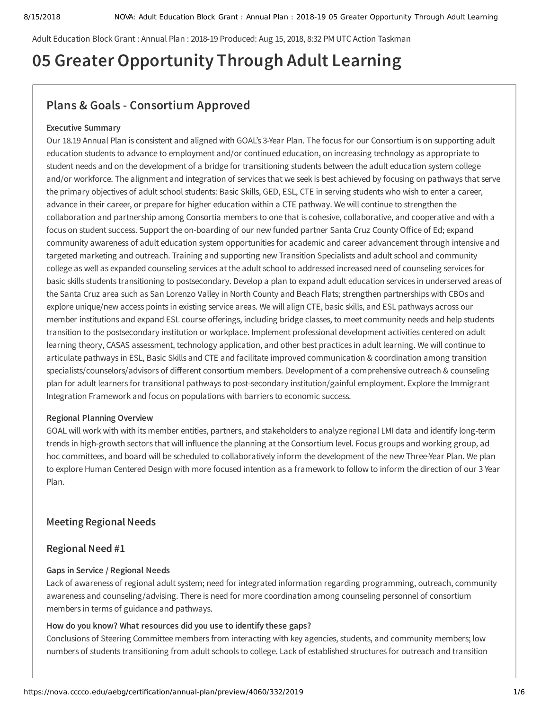Adult Education Block Grant : Annual Plan : 2018-19 Produced: Aug 15, 2018, 8:32 PM UTC Action Taskman

# **05 Greater Opportunity Through Adult Learning**

# **Plans & Goals - Consortium Approved**

#### **Executive Summary**

Our 18.19 Annual Plan is consistent and aligned with GOAL's 3-Year Plan. The focus for our Consortium is on supporting adult education students to advance to employment and/or continued education, on increasing technology as appropriate to student needs and on the development of a bridge for transitioning students between the adult education system college and/or workforce. The alignment and integration of services that we seek is best achieved by focusing on pathways that serve the primary objectives of adult school students: Basic Skills, GED, ESL, CTE in serving students who wish to enter a career, advance in their career, or prepare for higher education within a CTE pathway. We will continue to strengthen the collaboration and partnership among Consortia members to one that is cohesive, collaborative, and cooperative and with a focus on student success. Support the on-boarding of our new funded partner Santa Cruz County Office of Ed; expand community awareness of adult education system opportunities for academic and career advancement through intensive and targeted marketing and outreach. Training and supporting new Transition Specialists and adult school and community college as well as expanded counseling services at the adult school to addressed increased need of counseling services for basic skills students transitioning to postsecondary. Develop a plan to expand adult education services in underserved areas of the Santa Cruz area such as San Lorenzo Valley in North County and Beach Flats; strengthen partnerships with CBOs and explore unique/new access points in existing service areas. We will align CTE, basic skills, and ESL pathways across our member institutions and expand ESL course offerings, including bridge classes, to meet community needs and help students transition to the postsecondary institution or workplace. Implement professional development activities centered on adult learning theory, CASAS assessment, technology application, and other best practices in adult learning. We will continue to articulate pathways in ESL, Basic Skills and CTE and facilitate improved communication & coordination among transition specialists/counselors/advisors of different consortium members. Development of a comprehensive outreach & counseling plan for adult learners for transitional pathways to post-secondary institution/gainful employment. Explore the Immigrant Integration Framework and focus on populations with barriers to economic success.

#### **Regional Planning Overview**

GOAL will work with with its member entities, partners, and stakeholders to analyze regional LMI data and identify long-term trends in high-growth sectors that will influence the planning at the Consortium level. Focus groups and working group, ad hoc committees, and board will be scheduled to collaboratively inform the development of the new Three-Year Plan. We plan to explore Human Centered Design with more focused intention as a framework to follow to inform the direction of our 3 Year Plan.

#### **Meeting Regional Needs**

#### **Regional Need #1**

#### **Gaps in Service / Regional Needs**

Lack of awareness of regional adult system; need for integrated information regarding programming, outreach, community awareness and counseling/advising. There is need for more coordination among counseling personnel of consortium members in terms of guidance and pathways.

#### **How do you know? What resources did you use to identify these gaps?**

Conclusions of Steering Committee members from interacting with key agencies, students, and community members; low numbers of students transitioning from adult schools to college. Lack of established structures for outreach and transition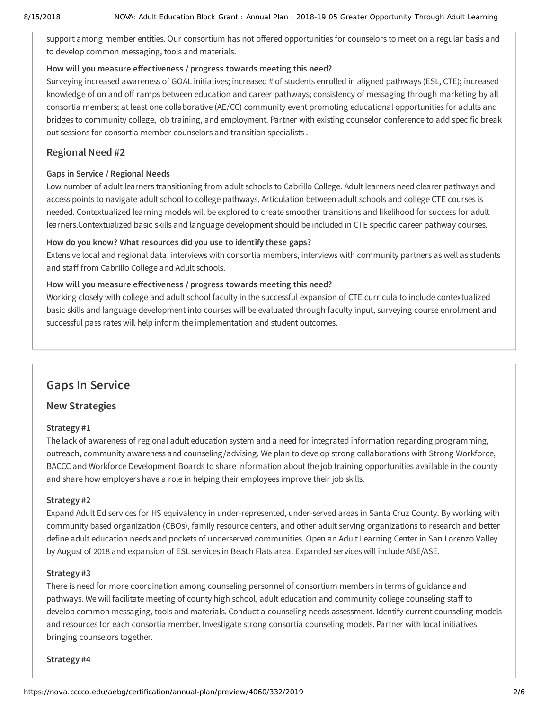support among member entities. Our consortium has not offered opportunities for counselors to meet on a regular basis and to develop common messaging, tools and materials.

#### How will you measure effectiveness / progress towards meeting this need?

Surveying increased awareness of GOAL initiatives; increased # of students enrolled in aligned pathways (ESL, CTE); increased knowledge of on and off ramps between education and career pathways; consistency of messaging through marketing by all consortia members; at least one collaborative (AE/CC) community event promoting educational opportunities for adults and bridges to community college, job training, and employment. Partner with existing counselor conference to add specific break out sessions for consortia member counselors and transition specialists .

#### **Regional Need #2**

#### **Gaps in Service / Regional Needs**

Low number of adult learners transitioning from adult schools to Cabrillo College. Adult learners need clearer pathways and access points to navigate adult school to college pathways. Articulation between adult schools and college CTE courses is needed. Contextualized learning models will be explored to create smoother transitions and likelihood for success for adult learners.Contextualized basic skills and language development should be included in CTE specific career pathway courses.

#### **How do you know? What resources did you use to identify these gaps?**

Extensive local and regional data, interviews with consortia members, interviews with community partners as well as students and staff from Cabrillo College and Adult schools.

#### How will you measure effectiveness / progress towards meeting this need?

Working closely with college and adult school faculty in the successful expansion of CTE curricula to include contextualized basic skills and language development into courses will be evaluated through faculty input, surveying course enrollment and successful pass rates will help inform the implementation and student outcomes.

# **Gaps In Service**

#### **New Strategies**

#### **Strategy #1**

The lack of awareness of regional adult education system and a need for integrated information regarding programming, outreach, community awareness and counseling/advising. We plan to develop strong collaborations with Strong Workforce, BACCC and Workforce Development Boards to share information about the job training opportunities available in the county and share how employers have a role in helping their employees improve their job skills.

#### **Strategy #2**

Expand Adult Ed services for HS equivalency in under-represented, under-served areas in Santa Cruz County. By working with community based organization (CBOs), family resource centers, and other adult serving organizations to research and better define adult education needs and pockets of underserved communities. Open an Adult Learning Center in San Lorenzo Valley by August of 2018 and expansion of ESL services in Beach Flats area. Expanded services will include ABE/ASE.

#### **Strategy #3**

There is need for more coordination among counseling personnel of consortium members in terms of guidance and pathways. We will facilitate meeting of county high school, adult education and community college counseling staff to develop common messaging, tools and materials. Conduct a counseling needs assessment. Identify current counseling models and resources for each consortia member. Investigate strong consortia counseling models. Partner with local initiatives bringing counselors together.

#### **Strategy #4**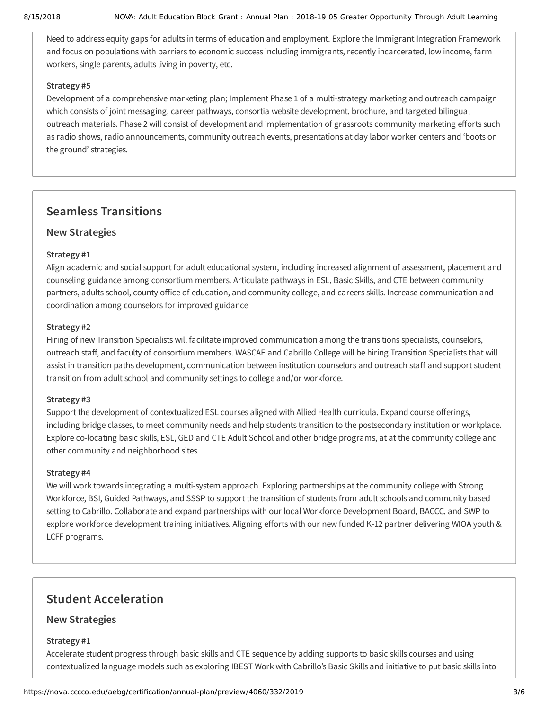#### 8/15/2018 NOVA: Adult Education Block Grant : Annual Plan : 2018-19 05 Greater Opportunity Through Adult Learning

Need to address equity gaps for adults in terms of education and employment. Explore the Immigrant Integration Framework and focus on populations with barriers to economic success including immigrants, recently incarcerated, low income, farm workers, single parents, adults living in poverty, etc.

#### **Strategy #5**

Development of a comprehensive marketing plan; Implement Phase 1 of a multi-strategy marketing and outreach campaign which consists of joint messaging, career pathways, consortia website development, brochure, and targeted bilingual outreach materials. Phase 2 will consist of development and implementation of grassroots community marketing efforts such as radio shows, radio announcements, community outreach events, presentations at day labor worker centers and 'boots on the ground' strategies.

# **Seamless Transitions**

### **New Strategies**

#### **Strategy #1**

Align academic and social support for adult educational system, including increased alignment of assessment, placement and counseling guidance among consortium members. Articulate pathways in ESL, Basic Skills, and CTE between community partners, adults school, county office of education, and community college, and careers skills. Increase communication and coordination among counselors for improved guidance

#### **Strategy #2**

Hiring of new Transition Specialists will facilitate improved communication among the transitions specialists, counselors, outreach staff, and faculty of consortium members. WASCAE and Cabrillo College will be hiring Transition Specialists that will assist in transition paths development, communication between institution counselors and outreach staff and support student transition from adult school and community settings to college and/or workforce.

#### **Strategy #3**

Support the development of contextualized ESL courses aligned with Allied Health curricula. Expand course offerings, including bridge classes, to meet community needs and help students transition to the postsecondary institution or workplace. Explore co-locating basic skills, ESL, GED and CTE Adult School and other bridge programs, at at the community college and other community and neighborhood sites.

#### **Strategy #4**

We will work towards integrating a multi-system approach. Exploring partnerships at the community college with Strong Workforce, BSI, Guided Pathways, and SSSP to support the transition of students from adult schools and community based setting to Cabrillo. Collaborate and expand partnerships with our local Workforce Development Board, BACCC, and SWP to explore workforce development training initiatives. Aligning efforts with our new funded K-12 partner delivering WIOA youth & LCFF programs.

# **Student Acceleration**

#### **New Strategies**

#### **Strategy #1**

Accelerate student progress through basic skills and CTE sequence by adding supports to basic skills courses and using contextualized language models such as exploring IBEST Work with Cabrillo's Basic Skills and initiative to put basic skills into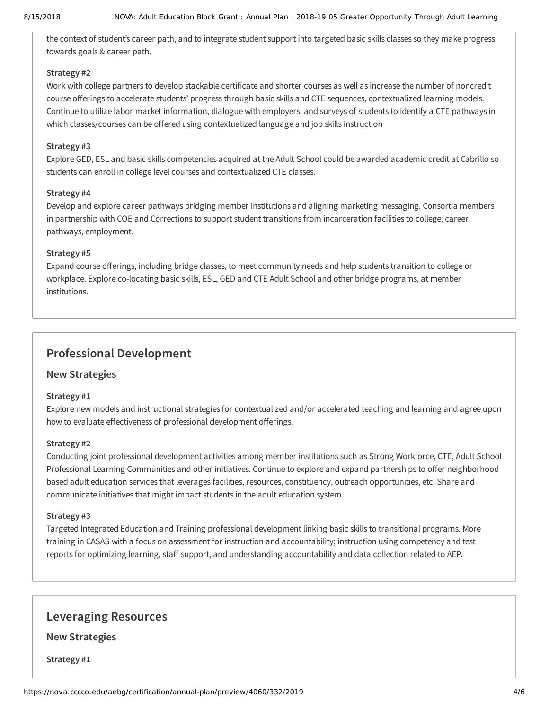the context of student's career path, and to integrate student support into targeted basic skills classes so they make progress towards goals & career path.

#### **Strategy #2**

Work with college partners to develop stackable certificate and shorter courses as well as increase the number of noncredit course offerings to accelerate students' progress through basic skills and CTE sequences, contextualized learning models. Continue to utilize labor market information, dialogue with employers, and surveys of students to identify a CTE pathways in which classes/courses can be offered using contextualized language and job skills instruction

#### **Strategy #3**

Explore GED, ESL and basic skills competencies acquired at the Adult School could be awarded academic credit at Cabrillo so students can enroll in college level courses and contextualized CTE classes.

#### **Strategy #4**

Develop and explore career pathways bridging member institutions and aligning marketing messaging. Consortia members in partnership with COE and Corrections to support student transitions from incarceration facilities to college, career pathways, employment.

#### **Strategy #5**

Expand course offerings, including bridge classes, to meet community needs and help students transition to college or workplace. Explore co-locating basic skills, ESL, GED and CTE Adult School and other bridge programs, at member institutions.

# **Professional Development**

#### **New Strategies**

#### **Strategy #1**

Explore new models and instructional strategies for contextualized and/or accelerated teaching and learning and agree upon how to evaluate effectiveness of professional development offerings.

#### **Strategy #2**

Conducting joint professional development activities among member institutions such as Strong Workforce, CTE, Adult School Professional Learning Communities and other initiatives. Continue to explore and expand partnerships to offer neighborhood based adult education services that leverages facilities, resources, constituency, outreach opportunities, etc. Share and communicate initiatives that might impact students in the adult education system.

#### **Strategy #3**

Targeted Integrated Education and Training professional development linking basic skills to transitional programs. More training in CASAS with a focus on assessment for instruction and accountability; instruction using competency and test reports for optimizing learning, staff support, and understanding accountability and data collection related to AEP.

## **Leveraging Resources**

**New Strategies**

**Strategy #1**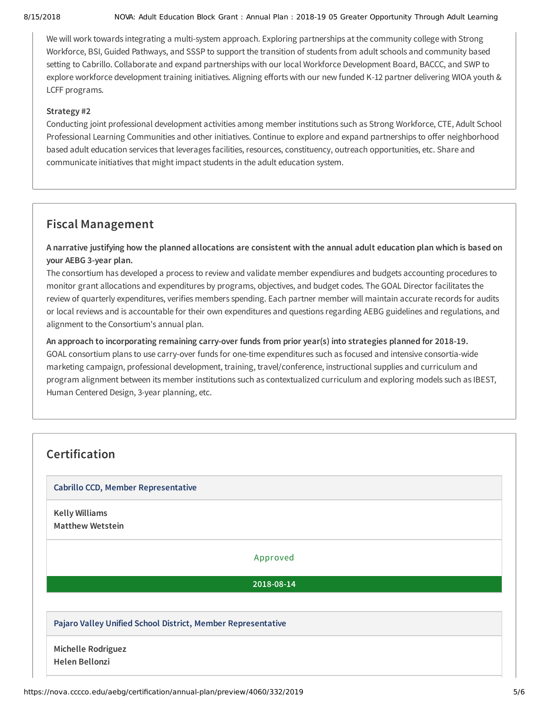#### 8/15/2018 NOVA: Adult Education Block Grant : Annual Plan : 2018-19 05 Greater Opportunity Through Adult Learning

We will work towards integrating a multi-system approach. Exploring partnerships at the community college with Strong Workforce, BSI, Guided Pathways, and SSSP to support the transition of students from adult schools and community based setting to Cabrillo. Collaborate and expand partnerships with our local Workforce Development Board, BACCC, and SWP to explore workforce development training initiatives. Aligning efforts with our new funded K-12 partner delivering WIOA youth & LCFF programs.

#### **Strategy #2**

Conducting joint professional development activities among member institutions such as Strong Workforce, CTE, Adult School Professional Learning Communities and other initiatives. Continue to explore and expand partnerships to offer neighborhood based adult education services that leverages facilities, resources, constituency, outreach opportunities, etc. Share and communicate initiatives that might impact students in the adult education system.

# **Fiscal Management**

A narrative justifying how the planned allocations are consistent with the annual adult education plan which is based on **your AEBG 3-year plan.**

The consortium has developed a process to review and validate member expendiures and budgets accounting procedures to monitor grant allocations and expenditures by programs, objectives, and budget codes. The GOAL Director facilitates the review of quarterly expenditures, verifies members spending. Each partner member will maintain accurate records for audits or local reviews and is accountable for their own expenditures and questions regarding AEBG guidelines and regulations, and alignment to the Consortium's annual plan.

**An approach to incorporating remaining carry-over funds from prior year(s) into strategies planned for 2018-19.** GOAL consortium plans to use carry-over funds for one-time expenditures such as focused and intensive consortia-wide marketing campaign, professional development, training, travel/conference, instructional supplies and curriculum and program alignment between its member institutions such as contextualized curriculum and exploring models such as IBEST, Human Centered Design, 3-year planning, etc.

| <b>Cabrillo CCD, Member Representative</b> |                                                              |  |
|--------------------------------------------|--------------------------------------------------------------|--|
| <b>Kelly Williams</b>                      |                                                              |  |
| <b>Matthew Wetstein</b>                    |                                                              |  |
|                                            | Approved                                                     |  |
|                                            | 2018-08-14                                                   |  |
|                                            |                                                              |  |
|                                            | Pajaro Valley Unified School District, Member Representative |  |